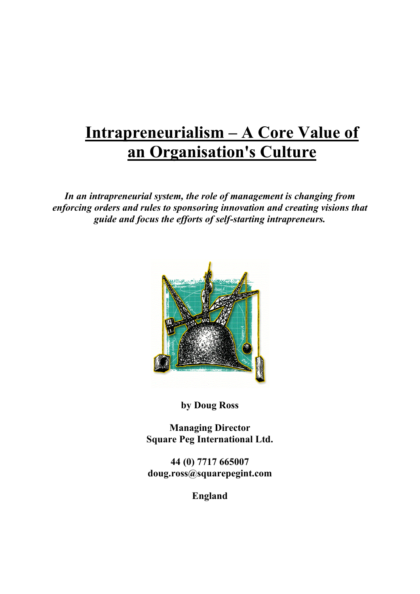# **Intrapreneurialism – A Core Value of an Organisation's Culture**

*In an intrapreneurial system, the role of management is changing from enforcing orders and rules to sponsoring innovation and creating visions that guide and focus the efforts of self-starting intrapreneurs.*



**by Doug Ross**

**Managing Director Square Peg International Ltd.**

**44 (0) 7717 665007 doug.ross@squarepegint.com**

**England**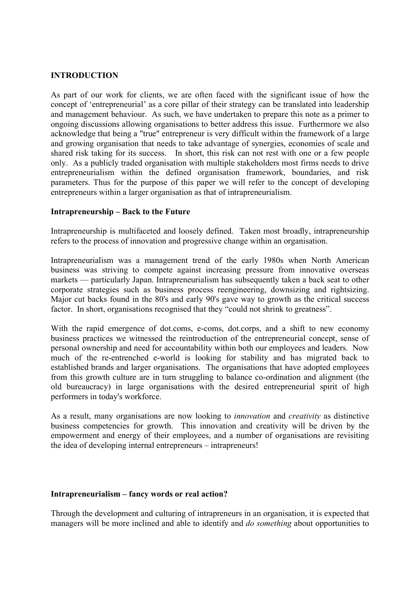#### **INTRODUCTION**

As part of our work for clients, we are often faced with the significant issue of how the concept of 'entrepreneurial' as a core pillar of their strategy can be translated into leadership and management behaviour. As such, we have undertaken to prepare this note as a primer to ongoing discussions allowing organisations to better address this issue. Furthermore we also acknowledge that being a "true" entrepreneur is very difficult within the framework of a large and growing organisation that needs to take advantage of synergies, economies of scale and shared risk taking for its success. In short, this risk can not rest with one or a few people only. As a publicly traded organisation with multiple stakeholders most firms needs to drive entrepreneurialism within the defined organisation framework, boundaries, and risk parameters. Thus for the purpose of this paper we will refer to the concept of developing entrepreneurs within a larger organisation as that of intrapreneurialism.

#### **Intrapreneurship – Back to the Future**

Intrapreneurship is multifaceted and loosely defined. Taken most broadly, intrapreneurship refers to the process of innovation and progressive change within an organisation.

Intrapreneurialism was a management trend of the early 1980s when North American business was striving to compete against increasing pressure from innovative overseas markets — particularly Japan. Intrapreneurialism has subsequently taken a back seat to other corporate strategies such as business process reengineering, downsizing and rightsizing. Major cut backs found in the 80's and early 90's gave way to growth as the critical success factor. In short, organisations recognised that they "could not shrink to greatness".

With the rapid emergence of dot.coms, e-coms, dot.corps, and a shift to new economy business practices we witnessed the reintroduction of the entrepreneurial concept, sense of personal ownership and need for accountability within both our employees and leaders. Now much of the re-entrenched e-world is looking for stability and has migrated back to established brands and larger organisations. The organisations that have adopted employees from this growth culture are in turn struggling to balance co-ordination and alignment (the old bureaucracy) in large organisations with the desired entrepreneurial spirit of high performers in today's workforce.

As a result, many organisations are now looking to *innovation* and *creativity* as distinctive business competencies for growth. This innovation and creativity will be driven by the empowerment and energy of their employees, and a number of organisations are revisiting the idea of developing internal entrepreneurs – intrapreneurs!

#### **Intrapreneurialism – fancy words or real action?**

Through the development and culturing of intrapreneurs in an organisation, it is expected that managers will be more inclined and able to identify and *do something* about opportunities to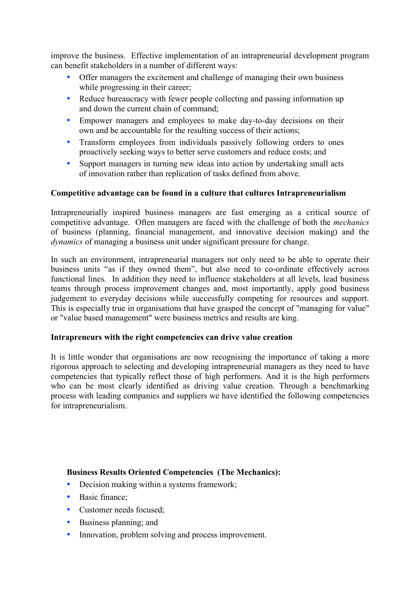improve the business. Effective implementation of an intrapreneurial development program can benefit stakeholders in a number of different ways:

- Offer managers the excitement and challenge of managing their own business while progressing in their career;
- Reduce bureaucracy with fewer people collecting and passing information up and down the current chain of command;
- Empower managers and employees to make day-to-day decisions on their own and be accountable for the resulting success of their actions;
- Transform employees from individuals passively following orders to ones proactively seeking ways to better serve customers and reduce costs; and
- Support managers in turning new ideas into action by undertaking small acts of innovation rather than replication of tasks defined from above.

#### **Competitive advantage can be found in a culture that cultures Intrapreneurialism**

Intrapreneurially inspired business managers are fast emerging as a critical source of competitive advantage. Often managers are faced with the challenge of both the *mechanics* of business (planning, financial management, and innovative decision making) and the *dynamics* of managing a business unit under significant pressure for change.

In such an environment, intrapreneurial managers not only need to be able to operate their business units "as if they owned them", but also need to co-ordinate effectively across functional lines. In addition they need to influence stakeholders at all levels, lead business teams through process improvement changes and, most importantly, apply good business judgement to everyday decisions while successfully competing for resources and support. This is especially true in organisations that have grasped the concept of "managing for value" or "value based management" were business metrics and results are king.

#### **Intrapreneurs with the right competencies can drive value creation**

It is little wonder that organisations are now recognising the importance of taking a more rigorous approach to selecting and developing intrapreneurial managers as they need to have competencies that typically reflect those of high performers. And it is the high performers who can be most clearly identified as driving value creation. Through a benchmarking process with leading companies and suppliers we have identified the following competencies for intrapreneurialism.

#### **Business Results Oriented Competencies (The Mechanics):**

- Decision making within a systems framework;
- Basic finance:
- Customer needs focused;
- Business planning; and
- Innovation, problem solving and process improvement.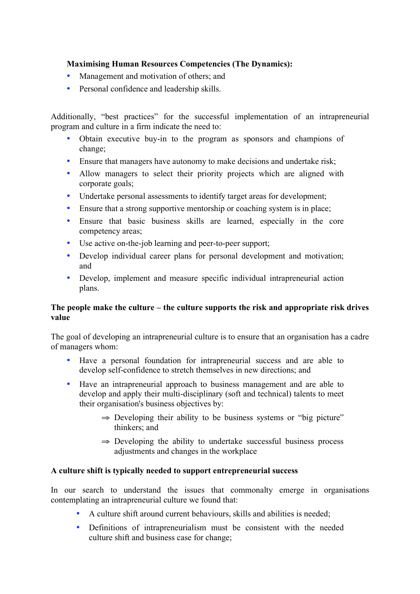## **Maximising Human Resources Competencies (The Dynamics):**

- Management and motivation of others; and
- Personal confidence and leadership skills.

Additionally, "best practices" for the successful implementation of an intrapreneurial program and culture in a firm indicate the need to:

- Obtain executive buy-in to the program as sponsors and champions of change;
- Ensure that managers have autonomy to make decisions and undertake risk;
- Allow managers to select their priority projects which are aligned with corporate goals;
- Undertake personal assessments to identify target areas for development;
- Ensure that a strong supportive mentorship or coaching system is in place;
- Ensure that basic business skills are learned, especially in the core competency areas;
- Use active on-the-job learning and peer-to-peer support;
- Develop individual career plans for personal development and motivation; and
- Develop, implement and measure specific individual intrapreneurial action plans.

#### **The people make the culture – the culture supports the risk and appropriate risk drives value**

The goal of developing an intrapreneurial culture is to ensure that an organisation has a cadre of managers whom:

- Have a personal foundation for intrapreneurial success and are able to develop self-confidence to stretch themselves in new directions; and
- Have an intrapreneurial approach to business management and are able to develop and apply their multi-disciplinary (soft and technical) talents to meet their organisation's business objectives by:
	- $\Rightarrow$  Developing their ability to be business systems or "big picture" thinkers; and
	- $\Rightarrow$  Developing the ability to undertake successful business process adjustments and changes in the workplace

#### **A culture shift is typically needed to support entrepreneurial success**

In our search to understand the issues that commonalty emerge in organisations contemplating an intrapreneurial culture we found that:

- A culture shift around current behaviours, skills and abilities is needed;
- Definitions of intrapreneurialism must be consistent with the needed culture shift and business case for change;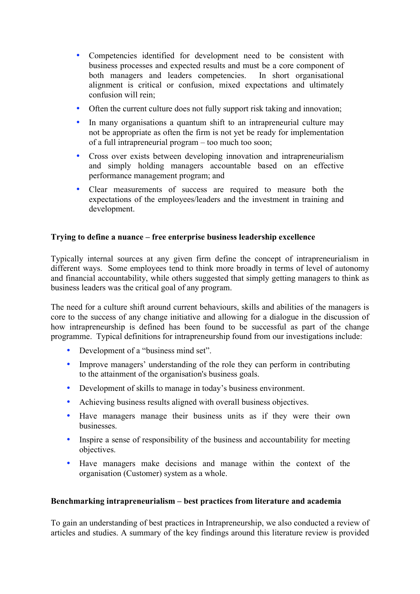- Competencies identified for development need to be consistent with business processes and expected results and must be a core component of both managers and leaders competencies. In short organisational alignment is critical or confusion, mixed expectations and ultimately confusion will rein;
- Often the current culture does not fully support risk taking and innovation;
- In many organisations a quantum shift to an intrapreneurial culture may not be appropriate as often the firm is not yet be ready for implementation of a full intrapreneurial program – too much too soon;
- Cross over exists between developing innovation and intrapreneurialism and simply holding managers accountable based on an effective performance management program; and
- Clear measurements of success are required to measure both the expectations of the employees/leaders and the investment in training and development.

# **Trying to define a nuance – free enterprise business leadership excellence**

Typically internal sources at any given firm define the concept of intrapreneurialism in different ways. Some employees tend to think more broadly in terms of level of autonomy and financial accountability, while others suggested that simply getting managers to think as business leaders was the critical goal of any program.

The need for a culture shift around current behaviours, skills and abilities of the managers is core to the success of any change initiative and allowing for a dialogue in the discussion of how intrapreneurship is defined has been found to be successful as part of the change programme. Typical definitions for intrapreneurship found from our investigations include:

- Development of a "business mind set".
- Improve managers' understanding of the role they can perform in contributing to the attainment of the organisation's business goals.
- Development of skills to manage in today's business environment.
- Achieving business results aligned with overall business objectives.
- Have managers manage their business units as if they were their own businesses.
- Inspire a sense of responsibility of the business and accountability for meeting objectives.
- Have managers make decisions and manage within the context of the organisation (Customer) system as a whole.

#### **Benchmarking intrapreneurialism – best practices from literature and academia**

To gain an understanding of best practices in Intrapreneurship, we also conducted a review of articles and studies. A summary of the key findings around this literature review is provided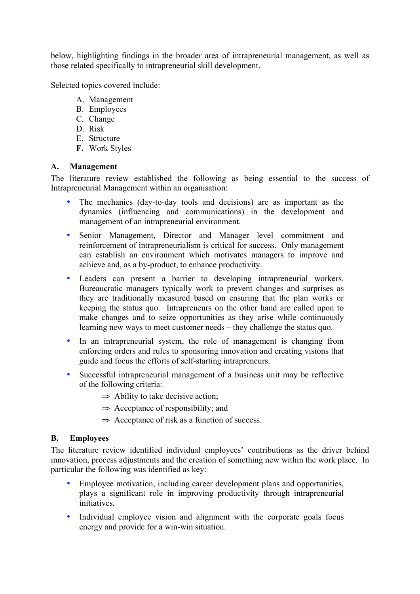below, highlighting findings in the broader area of intrapreneurial management, as well as those related specifically to intrapreneurial skill development.

Selected topics covered include:

- A. Management
- B. Employees
- C. Change
- D. Risk
- E. Structure
- **F.** Work Styles

#### **A. Management**

The literature review established the following as being essential to the success of Intrapreneurial Management within an organisation:

- The mechanics (day-to-day tools and decisions) are as important as the dynamics (influencing and communications) in the development and management of an intrapreneurial environment.
- Senior Management, Director and Manager level commitment and reinforcement of intrapreneurialism is critical for success. Only management can establish an environment which motivates managers to improve and achieve and, as a by-product, to enhance productivity.
- Leaders can present a barrier to developing intrapreneurial workers. Bureaucratic managers typically work to prevent changes and surprises as they are traditionally measured based on ensuring that the plan works or keeping the status quo. Intrapreneurs on the other hand are called upon to make changes and to seize opportunities as they arise while continuously learning new ways to meet customer needs – they challenge the status quo.
- In an intrapreneurial system, the role of management is changing from enforcing orders and rules to sponsoring innovation and creating visions that guide and focus the efforts of self-starting intrapreneurs.
- Successful intrapreneurial management of a business unit may be reflective of the following criteria:
	- $\Rightarrow$  Ability to take decisive action;
	- $\Rightarrow$  Acceptance of responsibility; and
	- $\Rightarrow$  Acceptance of risk as a function of success.

#### **B. Employees**

The literature review identified individual employees' contributions as the driver behind innovation, process adjustments and the creation of something new within the work place. In particular the following was identified as key:

- Employee motivation, including career development plans and opportunities, plays a significant role in improving productivity through intrapreneurial initiatives.
- Individual employee vision and alignment with the corporate goals focus energy and provide for a win-win situation.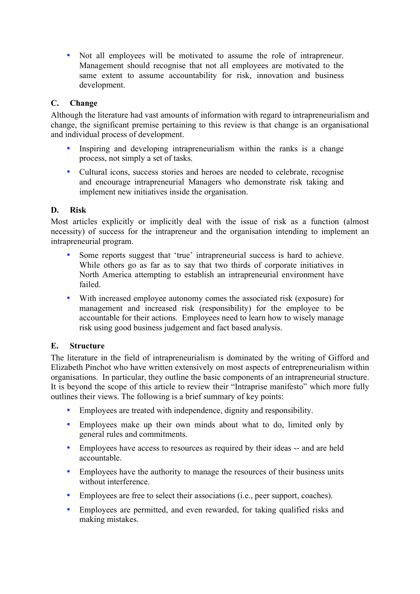• Not all employees will be motivated to assume the role of intrapreneur. Management should recognise that not all employees are motivated to the same extent to assume accountability for risk, innovation and business development.

# **C. Change**

Although the literature had vast amounts of information with regard to intrapreneurialism and change, the significant premise pertaining to this review is that change is an organisational and individual process of development.

- Inspiring and developing intrapreneurialism within the ranks is a change process, not simply a set of tasks.
- Cultural icons, success stories and heroes are needed to celebrate, recognise and encourage intrapreneurial Managers who demonstrate risk taking and implement new initiatives inside the organisation.

# **D. Risk**

Most articles explicitly or implicitly deal with the issue of risk as a function (almost necessity) of success for the intrapreneur and the organisation intending to implement an intrapreneurial program.

- Some reports suggest that 'true' intrapreneurial success is hard to achieve. While others go as far as to say that two thirds of corporate initiatives in North America attempting to establish an intrapreneurial environment have failed.
- With increased employee autonomy comes the associated risk (exposure) for management and increased risk (responsibility) for the employee to be accountable for their actions. Employees need to learn how to wisely manage risk using good business judgement and fact based analysis.

# **E. Structure**

The literature in the field of intrapreneurialism is dominated by the writing of Gifford and Elizabeth Pinchot who have written extensively on most aspects of entrepreneurialism within organisations. In particular, they outline the basic components of an intrapreneurial structure. It is beyond the scope of this article to review their "Intraprise manifesto" which more fully outlines their views. The following is a brief summary of key points:

- Employees are treated with independence, dignity and responsibility.
- Employees make up their own minds about what to do, limited only by general rules and commitments.
- Employees have access to resources as required by their ideas -- and are held accountable.
- Employees have the authority to manage the resources of their business units without interference.
- Employees are free to select their associations (i.e., peer support, coaches).
- Employees are permitted, and even rewarded, for taking qualified risks and making mistakes.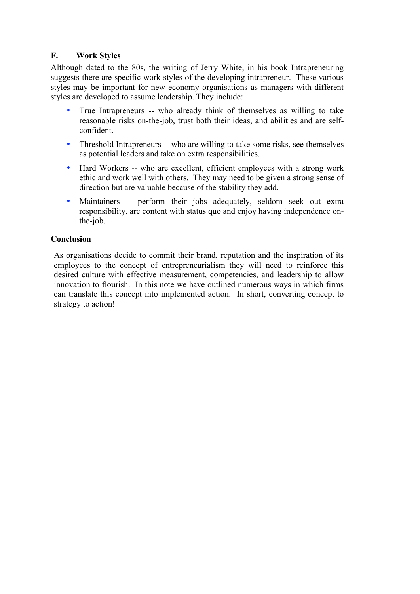# **F. Work Styles**

Although dated to the 80s, the writing of Jerry White, in his book Intrapreneuring suggests there are specific work styles of the developing intrapreneur. These various styles may be important for new economy organisations as managers with different styles are developed to assume leadership. They include:

- True Intrapreneurs -- who already think of themselves as willing to take reasonable risks on-the-job, trust both their ideas, and abilities and are selfconfident.
- Threshold Intrapreneurs -- who are willing to take some risks, see themselves as potential leaders and take on extra responsibilities.
- Hard Workers -- who are excellent, efficient employees with a strong work ethic and work well with others. They may need to be given a strong sense of direction but are valuable because of the stability they add.
- Maintainers -- perform their jobs adequately, seldom seek out extra responsibility, are content with status quo and enjoy having independence onthe-job.

#### **Conclusion**

As organisations decide to commit their brand, reputation and the inspiration of its employees to the concept of entrepreneurialism they will need to reinforce this desired culture with effective measurement, competencies, and leadership to allow innovation to flourish. In this note we have outlined numerous ways in which firms can translate this concept into implemented action. In short, converting concept to strategy to action!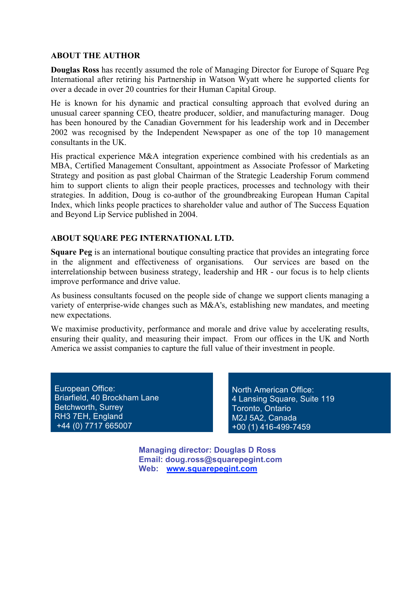#### **ABOUT THE AUTHOR**

**Douglas Ross** has recently assumed the role of Managing Director for Europe of Square Peg International after retiring his Partnership in Watson Wyatt where he supported clients for over a decade in over 20 countries for their Human Capital Group.

He is known for his dynamic and practical consulting approach that evolved during an unusual career spanning CEO, theatre producer, soldier, and manufacturing manager. Doug has been honoured by the Canadian Government for his leadership work and in December 2002 was recognised by the Independent Newspaper as one of the top 10 management consultants in the UK.

His practical experience M&A integration experience combined with his credentials as an MBA, Certified Management Consultant, appointment as Associate Professor of Marketing Strategy and position as past global Chairman of the Strategic Leadership Forum commend him to support clients to align their people practices, processes and technology with their strategies. In addition, Doug is co-author of the groundbreaking European Human Capital Index, which links people practices to shareholder value and author of The Success Equation and Beyond Lip Service published in 2004.

#### **ABOUT SQUARE PEG INTERNATIONAL LTD.**

**Square Peg** is an international boutique consulting practice that provides an integrating force in the alignment and effectiveness of organisations. Our services are based on the interrelationship between business strategy, leadership and HR - our focus is to help clients improve performance and drive value.

As business consultants focused on the people side of change we support clients managing a variety of enterprise-wide changes such as M&A's, establishing new mandates, and meeting new expectations.

We maximise productivity, performance and morale and drive value by accelerating results, ensuring their quality, and measuring their impact. From our offices in the UK and North America we assist companies to capture the full value of their investment in people.

European Office: Briarfield, 40 Brockham Lane Betchworth, Surrey RH3 7EH, England +44 (0) 7717 665007

North American Office: 4 Lansing Square, Suite 119 Toronto, Ontario M2J 5A2, Canada +00 (1) 416-499-7459

**Managing director: Douglas D Ross Email: doug.ross@squarepegint.com Web: www.squarepegint.com**